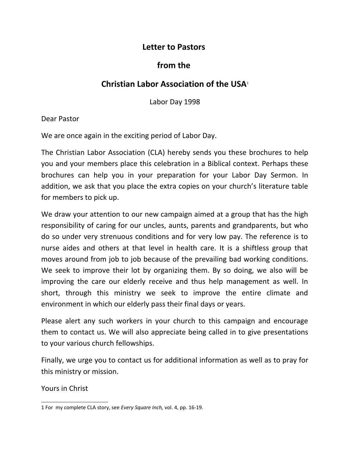## **Letter to Pastors**

## **from the**

## **Christian Labor Association of the USA**[1](#page-0-0)

Labor Day 1998

Dear Pastor

We are once again in the exciting period of Labor Day.

The Christian Labor Association (CLA) hereby sends you these brochures to help you and your members place this celebration in a Biblical context. Perhaps these brochures can help you in your preparation for your Labor Day Sermon. In addition, we ask that you place the extra copies on your church's literature table for members to pick up.

We draw your attention to our new campaign aimed at a group that has the high responsibility of caring for our uncles, aunts, parents and grandparents, but who do so under very strenuous conditions and for very low pay. The reference is to nurse aides and others at that level in health care. It is a shiftless group that moves around from job to job because of the prevailing bad working conditions. We seek to improve their lot by organizing them. By so doing, we also will be improving the care our elderly receive and thus help management as well. In short, through this ministry we seek to improve the entire climate and environment in which our elderly pass their final days or years.

Please alert any such workers in your church to this campaign and encourage them to contact us. We will also appreciate being called in to give presentations to your various church fellowships.

Finally, we urge you to contact us for additional information as well as to pray for this ministry or mission.

Yours in Christ

<span id="page-0-0"></span><sup>1</sup> For my complete CLA story, see *Every Square Inch,* vol. 4, pp. 16-19.